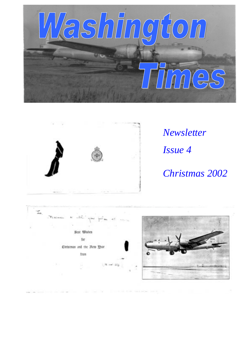



*Newsletter Issue 4 Christmas 2002*

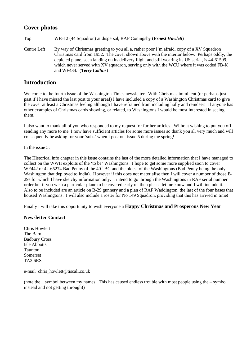## **Cover photos**

Top WF512 (44 Squadron) at dispersal, RAF Coningsby (*Ernest Howlett*)

Centre Left By way of Christmas greeting to you all a, rather poor I'm afraid, copy of a XV Squadron Christmas card from 1952. The cover shown above with the interior below. Perhaps oddly, the depicted plane, seen landing on its delivery flight and still wearing its US serial, is 44-61599, which never served with XV squadron, serving only with the WCU where it was coded FB-K and WF434. (*Terry Collins*)

## **Introduction**

Welcome to the fourth issue of the Washington Times newsletter. With Christmas imminent (or perhaps just past if I have missed the last post to your area!) I have included a copy of a Washington Christmas card to give the cover at least a Christmas feeling although I have refrained from including holly and reindeer! If anyone has other examples of Christmas cards showing, or related, to Washingtons I would be most interested in seeing them.

I also want to thank all of you who responded to my request for further articles. Without wishing to put you off sending any more to me, I now have sufficient articles for some more issues so thank you all very much and will consequently be asking for your 'subs' when I post out issue 5 during the spring!

In the issue 5:

The Historical info chapter in this issue contains the last of the more detailed information that I have managed to collect on the WWII exploits of the 'to be' Washingtons. I hope to get some more supplied soon to cover WF442 or 42-65274 Bad Penny of the 40<sup>th</sup> BG and the oldest of the Washingtons (Bad Penny being the only Washington that deployed to India). However if this does not materialise then I will cover a number of those B-29s for which I have sketchy information only. I intend to go through the Washingtons in RAF serial number order but if you wish a particular plane to be covered early on then please let me know and I will include it. Also to be included are an article on B-29 gunnery and a plan of RAF Waddington, the last of the four bases that housed Washingtons. I will also include a roster for No 149 Squadron, providing that this has arrived in time!

Finally I will take this opportunity to wish everyone a **Happy Christmas and Prosperous New Year**!

### **Newsletter Contact**

Chris Howlett The Barn Badbury Cross Isle Abbotts Taunton Somerset TA3 6RS

e-mail chris howlett@tiscali.co.uk

(note the \_ symbol between my names. This has caused endless trouble with most people using the – symbol instead and not getting through!)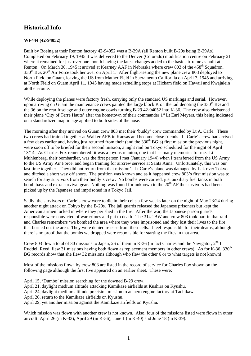# **Historical Info**

#### **WF444 (42-94052)**

Built by Boeing at their Renton factory 42-94052 was a B-29A (all Renton built B-29s being B-29As). Completed on February 19, 1945 it was delivered to the Denver (Colorado) modification centre on February 21 where it remained for just over one month having the latest changes added to the basic airframe as built at Renton. On March 30, 1945 it arrived at Kearney AAF in Nebraska where crew 803 of the 458<sup>th</sup> Squadron,  $330<sup>th</sup>$  BG,  $20<sup>th</sup>$  Air Force took her over on April 1. After flight-testing the new plane crew 803 deployed to North Field on Guam, leaving the US from Mather Field in Sacramento California on April 7, 1945 and arriving at North Field on Guam April 11, 1945 having made refuelling stops at Hickam field on Hawaii and Kwajalein atoll en-route.

While deploying the planes were factory fresh, carrying only the standard US markings and serial. However, upon arriving on Guam the maintenance crews painted the large block K on the tail denoting the  $330<sup>th</sup>$  BG and the 36 on the rear fuselage and outer engine cowls turning B-29 42-94052 into K-36. The crew also christened their plane 'City of Terre Haute' after the hometown of their commander 1<sup>st</sup> Lt Earl Meyers, this being indicated on a standardized map image applied to both sides of the nose.

The morning after they arrived on Guam crew 803 met their 'buddy' crew commanded by Lt A. Carle. These two crews had trained together at Walker AFB in Kansas and become close friends. Lt Carle's crew had arrived a few days earlier and, having just returned from their (and the 330<sup>th</sup> BG's) first mission the previous night, were soon off to be briefed for their second mission, a night raid on Tokyo scheduled for the night of April 13/14. As Charles Fox remembered 'it was a joyous reunion, one that has many memories for me. Lt Muhlenberg, their bombardier, was the first person I met (January 1944) when I transferred from the US Army to the US Army Air Force, and began training for aircrew service at Santa Anna. Unfortunately, this was our last time together. They did not return from that mission'. Lt Carle's plane was damaged by flak over Tokyo and ditched a short way off shore. The position was known and as it happened crew 803's first mission was to search for any survivors from their buddy's crew. No bombs were carried, just auxiliary fuel tanks in both bomb bays and extra survival gear. Nothing was found for unknown to the  $20<sup>th</sup> AF$  the survivors had been picked up by the Japanese and imprisoned in a Tokyo Jail.

Sadly, the survivors of Carle's crew were to die in their cells a few weeks later on the night of May 23/24 during another night attack on Tokyo by the B-29s. The jail guards released the Japanese prisoners but kept the American airmen locked in where they perished in the fire. After the war, the Japanese prison guards responsible were convicted of war crimes and put to death. The  $314<sup>th</sup>$  BW and crew 803 took part in that raid and Charles remembers 'we bombed the area where they were imprisoned and they lost their lives to the fire that burned out the area. They were denied release from their cells. I feel responsible for their deaths, although there is no proof that the bombs we dropped were responsible for starting the fires in that area.'

Crew 803 flew a total of 30 missions to Japan, 26 of them in K-36 (in fact Charles and the Navigator, 2<sup>nd</sup> Lt Ruddell Reed, flew 31 missions having both flown as replacement members in other crews). As for K-36,  $330<sup>th</sup>$ BG records show that she flew 32 missions although who flew the other 6 or to what targets is not known!

Most of the missions flown by crew 803 are listed in the record of service for Charles Fox shown on the following page although the first five appeared on an earlier sheet. These were:

- April 15, 'Dumbo' mission searching for the downed B-29 crew.
- April 21, daylight medium altitude attacking Kamikaze airfields at Kushira on Kyushu.
- April 24, daylight medium altitude precision mission to an aero engine factory at Tachikawa.
- April 26, return to the Kamikaze airfields on Kyushu.

April 29, yet another mission against the Kamikaze airfields on Kyushu.

Which mission was flown with another crew is not known. Also, four of the missions listed were flown in other aircraft: April 26 (in K-33), April 29 (in K-56), June 1 (in K-40) and June 18 (in K-39).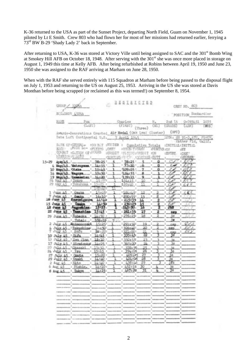K-36 returned to the USA as part of the Sunset Project, departing North Field, Guam on November 1, 1945 piloted by Lt E Smith. Crew 803 who had flown her for most of her missions had returned earlier, ferrying a 73rd BW B-29 'Shady Lady 2' back in September.

After returning to USA, K-36 was stored at Victory Ville until being assigned to SAC and the 301<sup>st</sup> Bomb Wing at Smokey Hill AFB on October 18, 1948. After serving with the 301<sup>st</sup> she was once more placed in storage on August 1, 1949 this time at Kelly AFB. After being refurbished at Robins between April 19, 1950 and June 23, 1950 she was assigned to the RAF arriving at Marham on June 28, 1950.

When with the RAF she served entirely with 115 Squadron at Marham before being passed to the disposal flight on July 1, 1953 and returning to the US on August 25, 1953. Arriving in the US she was stored at Davis Monthan before being scrapped (or reclaimed as this was termed!) on September 8, 1954.

|          | $GIOUP \times 3300h$     |                                                                                            |                   |                | <b>BESIDISTER</b>                  |          |                    |                  | CRET NO. 803                      |        |
|----------|--------------------------|--------------------------------------------------------------------------------------------|-------------------|----------------|------------------------------------|----------|--------------------|------------------|-----------------------------------|--------|
|          |                          | SCOLDRON ASSER                                                                             |                   |                |                                    |          |                    |                  | POSITION Bonbardier               |        |
|          | 抗心区                      | Fox:<br>(L151)                                                                             |                   |                | Charles<br>$($ FIRST)              | (Three)  | (11)               | (GELADX)         | R. 2nd Lt. 0-765451 1035<br>(L20) | (10.0) |
|          |                          | Amards-Decorations Cranted Air Medal (Oak Leal Cluster)                                    |                   |                |                                    |          |                    | (DPC)            |                                   |        |
|          |                          | Date Loft Continental U.S. 7 April 1945                                                    |                   |                |                                    |          |                    |                  | AUTH: 00 91-3, ATC, PEACH         |        |
|          |                          |                                                                                            |                   |                |                                    |          |                    |                  | Eather Fid, Calif.                |        |
|          |                          | DATE OF CEOCHL- : COMBAT : MAIEER : Cumulative Totals<br>ELCI: : FULLO LO- : FLYING : ORET |                   |                | 1000M/T:CREW                       |          | $t$ FONTES $t$ Oif | :INITIAL:INITIAL | sBY                               |        |
|          |                          |                                                                                            |                   | <b>:CREDIT</b> | IFLYING MREDIT HON                 |          |                    | :ENTRY           | :CSET                             |        |
|          |                          | COMBAT :CATION OF:NOURS<br>NESSION:TANORT                                                  |                   |                | ·SORTLES : F (T): : SORTLES : DUTY |          |                    |                  | :1020.ER                          |        |
|          |                          |                                                                                            |                   |                | 78:25                              |          | Ω                  |                  | : XR v                            |        |
|          |                          | 4 May/45 Watsurana 14:55                                                                   |                   |                | 93:20                              | 6        |                    |                  |                                   |        |
|          |                          | 10 Map/45 Otaka                                                                            | 15:45             |                | 109:05.1                           | 2        |                    |                  |                                   |        |
|          |                          | 14 May/45 Magnya                                                                           | 15:50:            |                | 124.55                             | в        |                    |                  |                                   |        |
|          | 24 May 45                | 19 May/45 Hamamatau!                                                                       | 14:20.7<br>15:009 |                | 139:15<br>154:15:                  | 9.<br>10 |                    |                  |                                   |        |
| 29       | 1007, 45                 | $-1.708070$<br>: Yokahuma                                                                  | 15:25:            |                | 1,69:40:                           | 11       |                    |                  | C.0.9                             |        |
|          |                          |                                                                                            | ,09:40:           |                |                                    |          |                    |                  |                                   |        |
|          | 1 June A5                | : Onalga                                                                                   | 15:05:            |                | 184145                             |          |                    |                  | c R i                             |        |
|          | $7 \text{ June } 45$     | 1. Danks                                                                                   | 16:10:            |                | 200:55                             | 13       |                    |                  |                                   |        |
|          | 10 June 45               | <b>Kasum gauna</b>                                                                         | <b>JV:70</b>      |                | 215135                             | 14       |                    |                  |                                   |        |
|          | 15 June 45               | Osaka                                                                                      | 14:50             |                | 230125                             | 15<br>16 |                    |                  | 20                                |        |
|          | 1.8 June 4<br>22 June 45 | <b>Lagoshima</b><br>: Tamashim                                                             | 15125<br>5:45     |                | 245150                             | 17       |                    | JЫ               |                                   |        |
|          | $J$ une $\pm$ 5.         | : Nobeoka                                                                                  | 14:50:            |                | 261:35<br>276:25                   | LB       |                    | oep<br>sa        | Ю¥                                |        |
| 29       |                          | Total:                                                                                     | 105:25            |                |                                    |          |                    | 1œ               |                                   |        |
|          | 2 July 45                | <b>Bhinononoid</b>                                                                         | 15:25             |                | $1291 + 50$                        | 19       |                    | 688              |                                   |        |
|          | July 45                  | Takushina                                                                                  | 34150             |                | 13061401                           | 20       |                    | <b>GBD</b>       |                                   |        |
|          | July 45                  | : Коги                                                                                     | 461.201           |                | 321:00:                            |          |                    | c.m.n            |                                   |        |
|          | 10 July 45               | 1.01LDa                                                                                    | 14.745.           |                | 335145                             |          |                    | Įď               |                                   |        |
| 13       | $JuLy$ 45                | Filma Jilma                                                                                | 15:10             |                | 350155                             | 23       |                    | ١a               |                                   |        |
| 17<br>20 | July 15<br>July 15       | : Hiratauka<br>. 3 Okanalet                                                                | 14:05.<br>13:50.  |                | 365:00<br>378: 50                  | 24<br>25 |                    | 10               | t                                 |        |
| 24       | Jully 45                 | 1.784                                                                                      | 15:15:            |                | 394105                             | 26       |                    | 9m<br>ţö.        | 2                                 |        |
| 27       | July 45                  | : Omrta                                                                                    | 15:20:            |                | 409125                             |          |                    | e                | t                                 |        |
| 29       | July 45                  | : Ozald                                                                                    | 14:40:            |                | 424105                             | 28       |                    | c                |                                   |        |
| 2        | Aug. 45.                 | :Mito                                                                                      | 14:40 +           |                | 438:15                             | 29       |                    | 1fo              | п                                 |        |
|          | $6$ Aug. $45$            | : Mahin.                                                                                   | 14:10:            |                | 452155                             | Ю        |                    | 1c               |                                   |        |
|          | 8 Aug 45                 | : Tolcro                                                                                   | 14:25             |                | 167:20                             |          |                    | 16               |                                   |        |
|          |                          |                                                                                            |                   |                |                                    |          |                    |                  |                                   |        |
|          |                          |                                                                                            |                   |                |                                    |          |                    |                  |                                   |        |
|          |                          |                                                                                            |                   |                |                                    |          |                    |                  |                                   |        |
|          |                          |                                                                                            |                   |                |                                    |          |                    |                  |                                   |        |
|          |                          |                                                                                            |                   |                |                                    |          |                    |                  |                                   |        |
|          |                          |                                                                                            | $\Gamma_{\rm m}$  |                |                                    |          |                    |                  |                                   |        |
|          |                          |                                                                                            |                   |                |                                    |          |                    |                  |                                   |        |
|          |                          | t                                                                                          | 1                 |                | $\Gamma_{\rm{esc}}$<br>王           |          |                    |                  | $\mathbf{1}_{\text{max}}$         |        |
|          |                          |                                                                                            | ž,                |                |                                    |          |                    |                  | $\Gamma_{\rm iso}$                |        |
|          |                          |                                                                                            | ı                 |                |                                    |          |                    |                  |                                   |        |
|          |                          |                                                                                            |                   |                |                                    |          | İ.                 |                  | $\ddagger$                        |        |
|          |                          |                                                                                            |                   |                |                                    |          |                    |                  |                                   |        |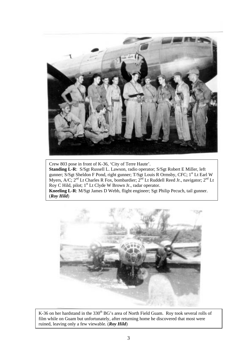

Crew 803 pose in front of K-36, 'City of Terre Haute'. **Standing L-R**: S/Sgt Russell L. Lawson, radio operator; S/Sgt Robert E Miller, left gunner; S/Sgt Sheldon F Pond, right gunner; T/Sgt Louis R Ormsby, CFC; 1st Lt Earl W Myers, A/C;  $2^{nd}$  Lt Charles R Fox, bombardier;  $2^{nd}$  Lt Ruddell Reed Jr., navigator;  $2^{nd}$  Lt Roy C Hild, pilot; 1<sup>st</sup> Lt Clyde W Brown Jr., radar operator. **Kneeling L-R**: M/Sgt James D Webb, flight engineer; Sgt Philip Pecuch, tail gunner. (*Roy Hild*)



K-36 on her hardstand in the 330<sup>th</sup> BG's area of North Field Guam. Roy took several rolls of film while on Guam but unfortunately, after returning home he discovered that most were ruined, leaving only a few viewable. (*Roy Hild*)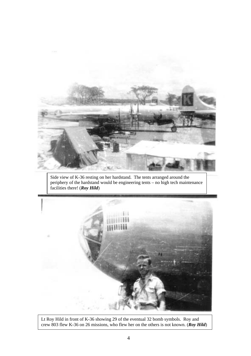

Side view of K-36 resting on her hardstand. The tents arranged around the periphery of the hardstand would be engineering tents – no high tech maintenance facilities there! (*Roy Hild*)



Lt Roy Hild in front of K-36 showing 29 of the eventual 32 bomb symbols. Roy and crew 803 flew K-36 on 26 missions, who flew her on the others is not known. (*Roy Hild*)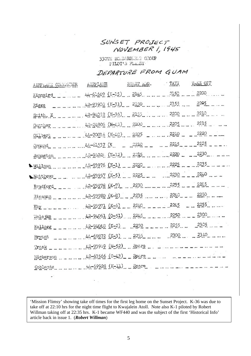# SUNSET PROJECT NOVEMBER 1, 1945

330TH BOLDARDEEN GROUP PILOT'S FLILEY

DEPARTURE FROM GUAM

| AIRPLANE COMMONDER | AIRPLANE               | START E.G. | TAXI | TAKE OFF |
|--------------------|------------------------|------------|------|----------|
| Kinnaird           | 44-61669 (K-15)        | 2145       | 2150 | 2200     |
| Riggs              | 42-93908 (K-31)        | 2150       | 2155 | 2295     |
| Smith, E           | $42-94052$ (K-36) 2155 |            | 2200 | 2210     |
| Cunther            | 42-24906 (M-42) 2200   |            | 2205 | 2215     |
| Gilbert            | $44 - 70016$ (K-40)    | - 2205     | 2210 | 2220     |
| Ornend             | 44-61537 (K)           | 2210       | 2215 | 2225     |
| Johnston           | $12-9402$ (K-12)       | 2215       | 2220 | 2230     |
| Willman            | $12 - 23276$ (K-1)     | 2220       | 2225 | 2235     |
| Matthews           | 42-93957 (K-5)         | 2225       | 2230 | 2240     |
| Bradford           | 42-23278 (K-7)         | 2230       | 2235 | 221.5    |
| Hinzman            | 42-93980 (K-8)         | 2235       | 2240 | 2250     |
| Eby                | 42-93971 (K-6)         | 2240       | 2245 | 2255     |
| Wolejko            | 42-94061 (0-51)        | 2245       | 2250 | 2300     |
| Kellogg            | 42-94048 (K-2)         | 2250       | 2255 | 2305     |
| Bryant             | 44-69872 (K-3)         | 2255       | 2300 | 2310     |
| Trask              | 42-93989 (M-52)        | Spare      |      |          |
| Hickerson          | 42-63566 (0-43)        | Spare      |      |          |
| Coblentz           | 44-69928 (K-11)        | Spare      |      |          |
|                    |                        |            |      |          |

'Mission Flimsy' showing take off times for the first leg home on the Sunset Project. K-36 was due to take off at 22:10 hrs for the night time flight to Kwajalein Atoll. Note also K-1 piloted by Robert Willman taking off at 22:35 hrs. K-1 became WF440 and was the subject of the first 'Historical Info' article back in issue 1. (*Robert Willman*)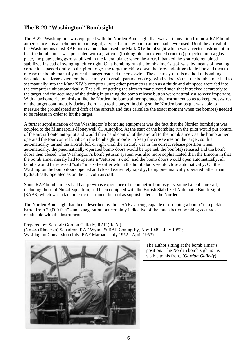# **The B-29 "Washington" Bombsight**

The B-29 "Washington" was equipped with the Norden Bombsight that was an innovation for most RAF bomb aimers since it is a tachometric bombsight, a type that many bomb aimers had never used. Until the arrival of the Washingtons most RAF bomb aimers had used the Mark XIV bombsight which was a vector instrument in that the bomb aimer was presented with a graticule (looking like an extended crucifix) projected onto a glass plate, the plate being gyro stabilized in the lateral plane: when the aircraft banked the graticule remained stabilized instead of swinging left or right. On a bombing run the bomb aimer's task was, by means of heading corrections passed orally to the pilot, to get the target tracking down the fore-and-aft graticule line and then to release the bomb manually once the target reached the crosswire. The accuracy of this method of bombing depended to a large extent on the accuracy of certain parameters (e.g. wind velocity) that the bomb aimer had to set manually into the Mark XIV's computer unit; other parameters such as altitude and air speed were fed into the computer unit automatically. The skill of getting the aircraft maneuvered such that it tracked accurately to the target and the accuracy of the timing in pushing the bomb release button were naturally also very important. With a tachometric bombsight like the Norden the bomb aimer operated the instrument so as to keep crosswires on the target continuously during the run-up to the target: in doing so the Norden bombsight was able to measure the groundspeed and drift of the aircraft and thus calculate the exact moment when the bomb(s) needed to be release in order to hit the target.

A further sophistication of the Washington's bombing equipment was the fact that the Norden bombsight was coupled to the Minneapolis-Honeywell C1 Autopilot. At the start of the bombing run the pilot would put control of the aircraft onto autopilot and would then hand control of the aircraft to the bomb aimer; as the bomb aimer operated the four control knobs on the bombsight in order to keep the crosswires on the target, so this automatically turned the aircraft left or right until the aircraft was in the correct release position when, automatically, the pneumatically-operated bomb doors would be opened, the bomb(s) released and the bomb doors then closed. The Washington's bomb jettison system was also more sophisticated than the Lincoln in that the bomb aimer merely had to operate a "Jettison" switch and the bomb doors would open automatically, all bombs would be released "safe" in a salvo after which the bomb doors would close automatically. On the Washington the bomb doors opened and closed extremely rapidly, being pneumatically operated rather than hydraulically operated as on the Lincoln aircraft.

Some RAF bomb aimers had had previous experience of tachometric bombsights: some Lincoln aircraft, including those of No.44 Squadron, had been equipped with the British Stabilized Automatic Bomb Sight (SABS) which was a tachometric instrument but not as sophisticated as the Norden.

The Norden Bombsight had been described by the USAF as being capable of dropping a bomb "in a pickle barrel from 20,000 feet" - an exaggeration but certainly indicative of the much better bombing accuracy obtainable with the instrument.

Prepared by: Sqn Ldr Gordon Galletly, RAF (Ret'd) (No.44 (Rhodesia) Squadron, RAF Wyton & RAF Coningsby, Nov.1949 - July 1952; Washington Conversion (July, RAF Marham, July 1952 - April 1953)



The author sitting at the bomb aimer's position. The Norden bomb sight is just visible to his front. (*Gordon Galletly*)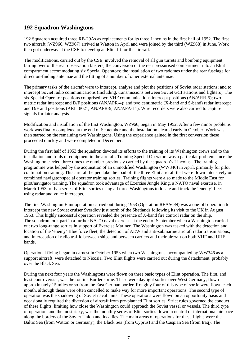## **192 Squadron Washingtons**

192 Squadron acquired three RB-29As as replacements for its three Lincolns in the first half of 1952. The first two aircraft (WZ966, WZ967) arrived at Watton in April and were joined by the third (WZ968) in June. Work then got underway at the CSE to develop an Elint fit for the aircraft.

The modifications, carried out by the CSE, involved the removal of all gun turrets and bombing equipment; fairing over of the rear observation blisters; the conversion of the rear pressurised compartment into an Elint compartment accommodating six Special Operators; the installation of two radomes under the rear fuselage for direction-finding antennae and the fitting of a number of other external antennae.

The primary tasks of the aircraft were to intercept, analyse and plot the positions of Soviet radar stations; and to intercept Soviet radio communications (including. transmissions between Soviet GCI stations and fighters). The six Special Operator positions comprised two VHF communications intercept positions (AN/ARR-5); two metric radar intercept and D/F positions (AN/APR-4); and two centimetric (X-band and S-band) radar intercept and D/F and positions (ARI 18021, AN/APR-9, AN/APA-11). Wire recorders were also carried to capture signals for later analysis.

Modification and installation of the first Washington, WZ966, began in May 1952. After a few minor problems work was finally completed at the end of September and the installation cleared early in October. Work was then started on the remaining two Washingtons. Using the experience gained in the first conversion these proceeded quickly and were completed in December.

During the first half of 1953 the squadron devoted its efforts to the training of its Washington crews and to the installation and trials of equipment in the aircraft. Training Special Operators was a particular problem since the Washington carried three times the number previously carried by the squadron's Lincolns. The training programme was helped by the acquisition of an unmodified Washington (WW346) in April, primarily for pilot continuation training. This aircraft helped take the load off the three Elint aircraft that were flown intensively on combined navigator/special operator training sorties. Training flights were also made to the Middle East for pilot/navigator training. The squadron took advantage of Exercise Jungle King, a NATO naval exercise, in March 1953 to fly a series of Elint sorties using all three Washingtons to locate and track the 'enemy' fleet using radar and voice intercepts.

The first Washington Elint operation carried out during 1953 (Operation REASON) was a one-off operation to intercept the new Soviet cruiser Sverdlov just north of the Shetlands following its visit to the UK in August 1953. This highly successful operation revealed the presence of X-band fire control radar on the ship. The squadron took part in a further NATO naval exercise at the end of September when a Washington carried out two long-range sorties in support of Exercise Mariner. The Washington was tasked with the detection and location of the 'enemy' Blue force fleet; the detection of AEW and anti-submarine aircraft radar transmissions; and interception of radio traffic between ships and between carriers and their aircraft on both VHF and UHF bands.

Operational flying began in earnest in October 1953 when two Washingtons, accompanied by WW346 as a support aircraft, were detached to Nicosia. Two Elint flights were carried out during the detachment, probably over the Black Sea.

During the next four years the Washingtons were flown on three basic types of Elint operation. The first, and least controversial, was the routine Border sortie. These were daylight sorties over West Germany, flown approximately 15 miles or so from the East German border. Roughly four of this type of sortie were flown each month, although these were often cancelled to make way for more important operations. The second type of operation was the shadowing of Soviet naval units. These operations were flown on an opportunity basis and occasionally required the diversion of aircraft from pre-planned Elint sorties. Strict rules governed the conduct of these flights, limiting how close the Washington could approach the Soviet vessel or vessels. The third type of operation, and the most risky, was the monthly series of Elint sorties flown in neutral or international airspace along the borders of the Soviet Union and its allies. The main areas of operations for these flights were the Baltic Sea (from Watton or Germany), the Black Sea (from Cyprus) and the Caspian Sea (from Iraq). The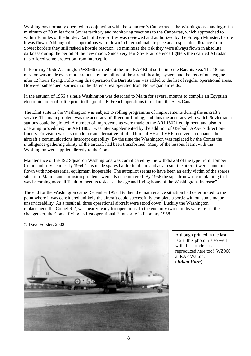Washingtons normally operated in conjunction with the squadron's Canberras – the Washingtons standing-off a minimum of 70 miles from Soviet territory and monitoring reactions to the Canberras, which approached to within 30 miles of the border. Each of these sorties was reviewed and authorized by the Foreign Minister, before it was flown. Although these operations were flown in international airspace at a respectable distance from Soviet borders they still risked a hostile reaction. To minimize the risk they were always flown in absolute darkness during the period of the new moon. Since very few Soviet air defence fighters then carried AI radar this offered some protection from interception.

In February 1956 Washington WZ966 carried out the first RAF Elint sortie into the Barents Sea. The 18 hour mission was made even more arduous by the failure of the aircraft heating system and the loss of one engine after 12 hours flying. Following this operation the Barents Sea was added to the list of regular operational areas. However subsequent sorties into the Barents Sea operated from Norwegian airfields.

In the autumn of 1956 a single Washington was detached to Malta for several months to compile an Egyptian electronic order of battle prior to the joint UK-French operations to reclaim the Suez Canal.

The Elint suite in the Washington was subject to rolling programme of improvements during the aircraft's service. The main problem was the accuracy of direction-finding, and thus the accuracy with which Soviet radar stations could be plotted. A number of improvements were made to the ARI 18021 equipment, and also to operating procedures; the ARI 18021 was later supplemented by the addition of US-built APA-17 directionfinders. Provision was also made for an alternative fit of additional HF and VHF receivers to enhance the aircraft's communications intercept capability. By the time the Washington was replaced by the Comet the intelligence-gathering ability of the aircraft had been transformed. Many of the lessons learnt with the Washington were applied directly to the Comet.

Maintenance of the 192 Squadron Washingtons was complicated by the withdrawal of the type from Bomber Command service in early 1954. This made spares harder to obtain and as a result the aircraft were sometimes flown with non-essential equipment inoperable. The autopilot seems to have been an early victim of the spares situation. Main plane corrosion problems were also encountered. By 1956 the squadron was complaining that it was becoming more difficult to meet its tasks as "the age and flying hours of the Washingtons increase".

The end for the Washington came December 1957. By then the maintenance situation had deteriorated to the point where it was considered unlikely the aircraft could successfully complete a sortie without some major unserviceability. As a result all three operational aircraft were stood down. Luckily the Washington replacement, the Comet R.2, was nearly ready for operations. In the end only two months were lost in the changeover, the Comet flying its first operational Elint sortie in February 1958.

© Dave Forster, 2002



Although printed in the last issue, this photo fits so well with this article it is reproduced here too! WZ966 at RAF Watton. (*Julian Horn*)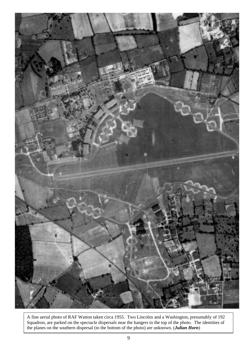

A fine aerial photo of RAF Watton taken circa 1955. Two Lincolns and a Washington, presumably of 192 Squadron, are parked on the spectacle dispersals near the hangers to the top of the photo. The identities of the planes on the southern dispersal (to the bottom of the photo) are unknown. (*Julian Horn*)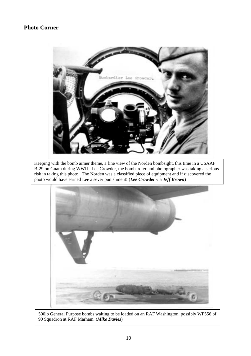### **Photo Corner**



Keeping with the bomb aimer theme, a fine view of the Norden bombsight, this time in a USAAF B-29 on Guam during WWII. Lee Crowder, the bombardier and photographer was taking a serious risk in taking this photo. The Norden was a classified piece of equipment and if discovered the photo would have earned Lee a sever punishment! (*Lee Crowder* via *Jeff Brown*)



500lb General Purpose bombs waiting to be loaded on an RAF Washington, possibly WF556 of 90 Squadron at RAF Marham. (*Mike Davies*)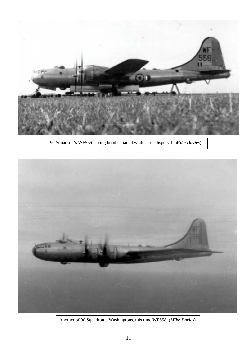

90 Squadron's WF556 having bombs loaded while at its dispersal. (*Mike Davies*)



Another of 90 Squadron's Washingtons, this time WF558. (*Mike Davies*)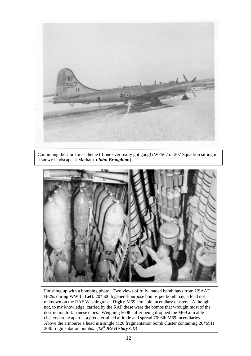

Continuing the Christmas theme (if one ever really got gong!) WF567 of 207 Squadron sitting in a snowy landscape at Marham. (*John Broughton*)



Finishing up with a bombing photo. Two views of fully loaded bomb bays from USAAF B-29s during WWII. **Left**: 20\*500lb general-purpose bombs per bomb bay, a load not unknown on the RAF Washingtons. **Right**: M69 aim able incendiary clusters. Although not, to my knowledge, carried by the RAF these were the bombs that wrought most of the destruction to Japanese cities. Weighing 500lb, after being dropped the M69 aim able clusters broke apart at a predetermined altitude and spread 76\*6lb M69 incendiaries. Above the armourer's head is a single M26 fragmentation bomb cluster containing 20\*M41 20lb fragmentation bombs.  $(I9^{th} BG History CD)$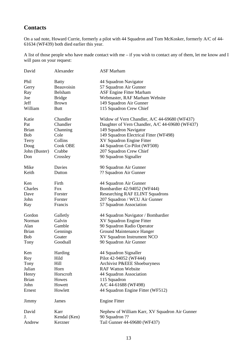# **Contacts**

On a sad note, Howard Currie, formerly a pilot with 44 Squadron and Tom McKosker, formerly A/C of 44- 61634 (WF439) both died earlier this year.

A list of those people who have made contact with me – if you wish to contact any of them, let me know and I will pass on your request:

| David         | Alexander     | <b>ASF</b> Marham                               |
|---------------|---------------|-------------------------------------------------|
| Phil          | <b>Batty</b>  | 44 Squadron Navigator                           |
| Gerry         | Beauvoisin    | 57 Squadron Air Gunner                          |
| Ray           | Belsham       | <b>ASF Engine Fitter Marham</b>                 |
| Joe           | <b>Bridge</b> | Webmaster, RAF Marham Website                   |
|               | <b>Brown</b>  |                                                 |
| Jeff          |               | 149 Squadron Air Gunner                         |
| William       | Butt          | 115 Squadron Crew Chief                         |
| Katie         | Chandler      | Widow of Vern Chandler, A/C 44-69680 (WF437)    |
| Pat           | Chandler      | Daughter of Vern Chandler, A/C 44-69680 (WF437) |
| <b>Brian</b>  | Channing      | 149 Squadron Navigator                          |
| <b>Bob</b>    | Cole          | 149 Squadron Electrical Fitter (WF498)          |
| Terry         | Collins       | XV Squadron Engine Fitter                       |
| Doug          | Cook OBE      | 44 Squadron Co-Pilot (WF508)                    |
| John (Buster) | Crabbe        | 207 Squadron Crew Chief                         |
| Don           | Crossley      | 90 Squadron Signaller                           |
|               |               |                                                 |
| Mike          | Davies        | 90 Squadron Air Gunner                          |
| Keith         | Dutton        | ?? Squadron Air Gunner                          |
| Ken           | Firth         | 44 Squadron Air Gunner                          |
| Charles       | <b>Fox</b>    | Bombardier 42-94052 (WF444)                     |
| Dave          | Forster       | Researching RAF ELINT Squadrons                 |
| John          | Forster       | 207 Squadron / WCU Air Gunner                   |
|               |               |                                                 |
| Ray           | Francis       | 57 Squadron Association                         |
| Gordon        | Galletly      | 44 Squadron Navigator / Bombardier              |
| Norman        | Galvin        | XV Squadron Engine Fitter                       |
| Alan          | Gamble        | 90 Squadron Radio Operator                      |
| <b>Brian</b>  | Gennings      | Ground Maintenance Hanger                       |
| <b>Bob</b>    | Goater        | XV Squadron Instrument NCO                      |
| Tony          | Goodsall      | 90 Squadron Air Gunner                          |
| Ken           |               |                                                 |
|               | Harding       | 44 Squadron Signaller                           |
| Roy           | Hild          | Pilot 42-94052 (WF444)                          |
| Tony          | Hill          | Archivist P&EEE Shoeburyness                    |
| Julian        | Horn          | <b>RAF Watton Website</b>                       |
| Henry         | Horscroft     | 44 Squadron Association                         |
| <b>Brian</b>  | Howes         | 115 Squadron                                    |
| John          | Howett        | A/C 44-61688 (WF498)                            |
| Ernest        | Howlett       | 44 Squadron Engine Fitter (WF512)               |
| Jimmy         | James         | <b>Engine Fitter</b>                            |
| David         | Karr          | Nephew of William Karr, XV Squadron Air Gunner  |
| J.            | Kendal (Ken)  | 90 Squadron ??                                  |
| Andrew        | Kerzner       | Tail Gunner 44-69680 (WF437)                    |
|               |               |                                                 |